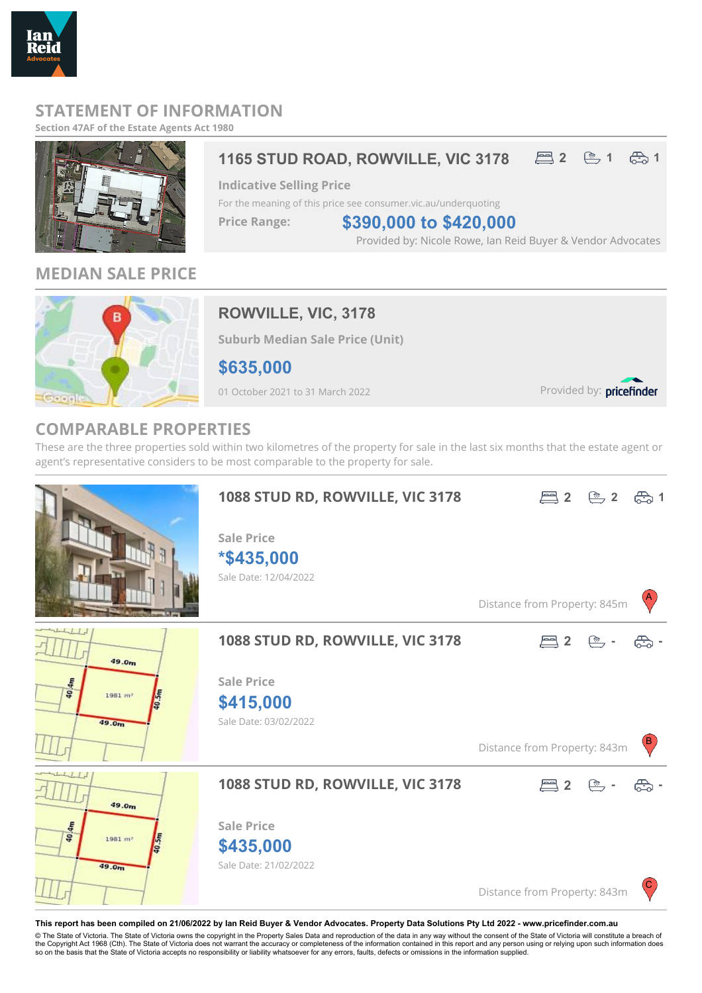

## **STATEMENT OF INFORMATION**

**Section 47AF of the Estate Agents Act 1980**



# 1165 STUD ROAD, ROWVILLE, VIC 3178  $\Xi$  2  $\Xi$  1  $\Xi$  1

**Indicative Selling Price**

For the meaning of this price see consumer.vic.au/underquoting

**Price Range:**

Provided by: Nicole Rowe, Ian Reid Buyer & Vendor Advocates **\$390,000 to \$420,000**

**MEDIAN SALE PRICE**



# **ROWVILLE, VIC, 3178**

**Suburb Median Sale Price (Unit)**

**\$635,000**

01 October 2021 to 31 March 2022

Provided by: pricefinder

## **COMPARABLE PROPERTIES**

These are the three properties sold within two kilometres of the property for sale in the last six months that the estate agent or agent's representative considers to be most comparable to the property for sale.



**This report has been compiled on 21/06/2022 by Ian Reid Buyer & Vendor Advocates. Property Data Solutions Pty Ltd 2022 - www.pricefinder.com.au**

© The State of Victoria. The State of Victoria owns the copyright in the Property Sales Data and reproduction of the data in any way without the consent of the State of Victoria will constitute a breach of<br>the Copyright Ac so on the basis that the State of Victoria accepts no responsibility or liability whatsoever for any errors, faults, defects or omissions in the information supplied.